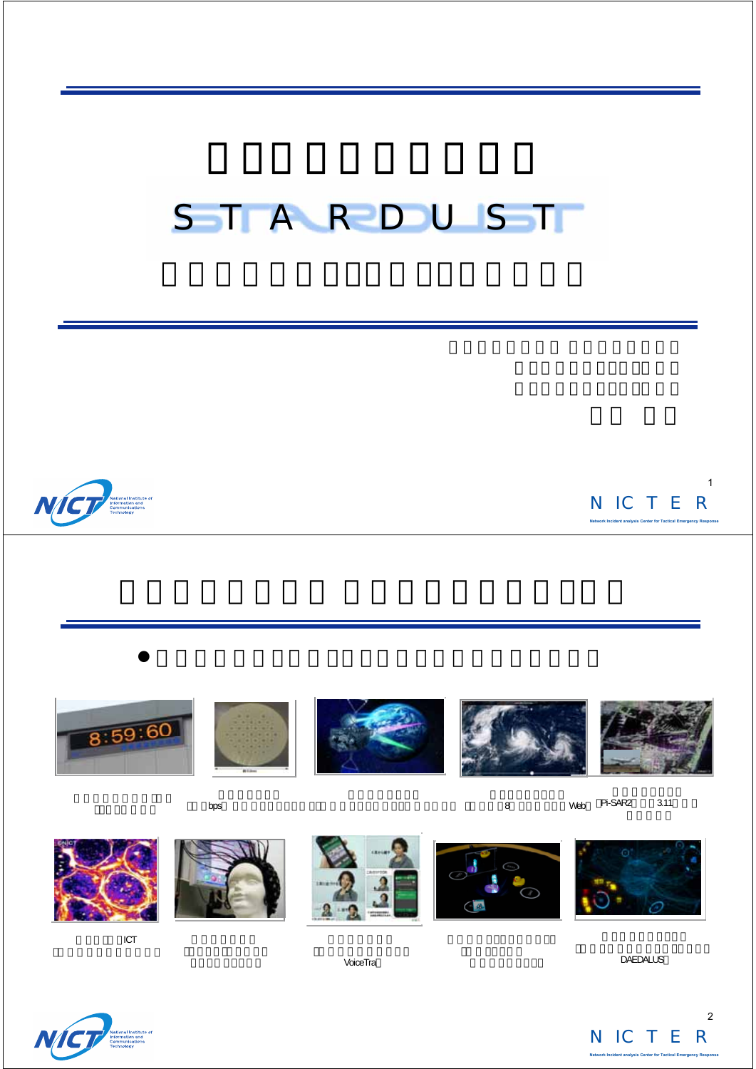# STARDUST



NICTER **Network Incident analysis Center for Tactical Emergency Response** 1

 $\bullet$ 





bps









8 Web Pi-SAR2 3.11

ICT

VoiceTra

DAEDALUS



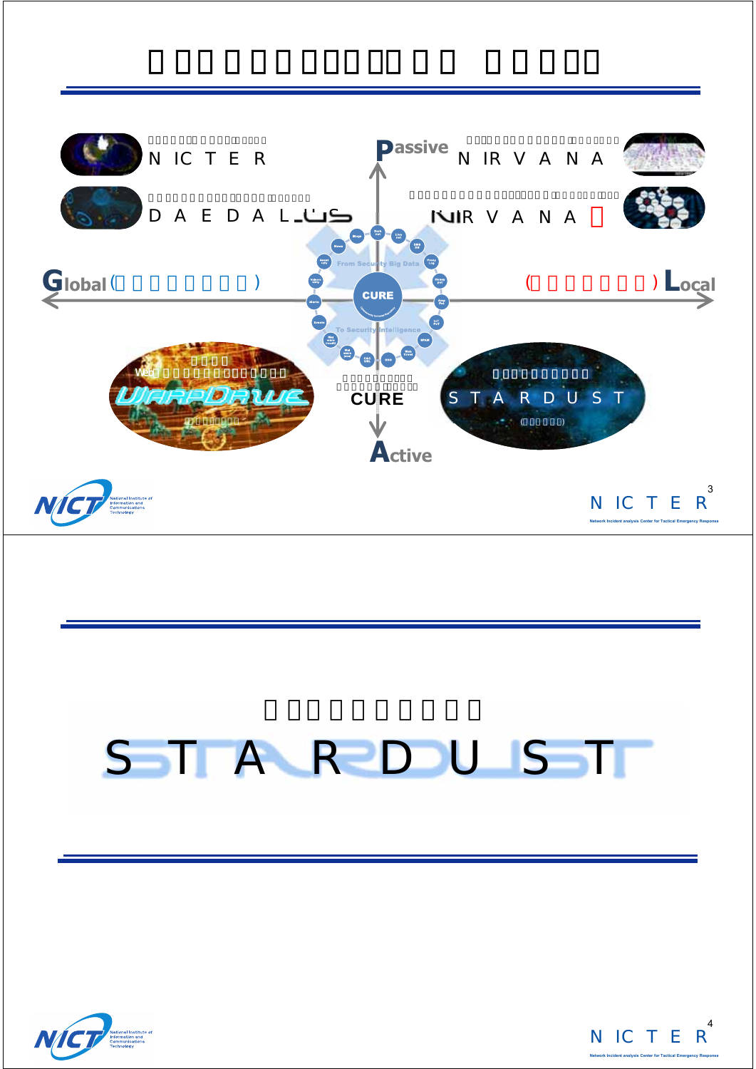

# STARDUST



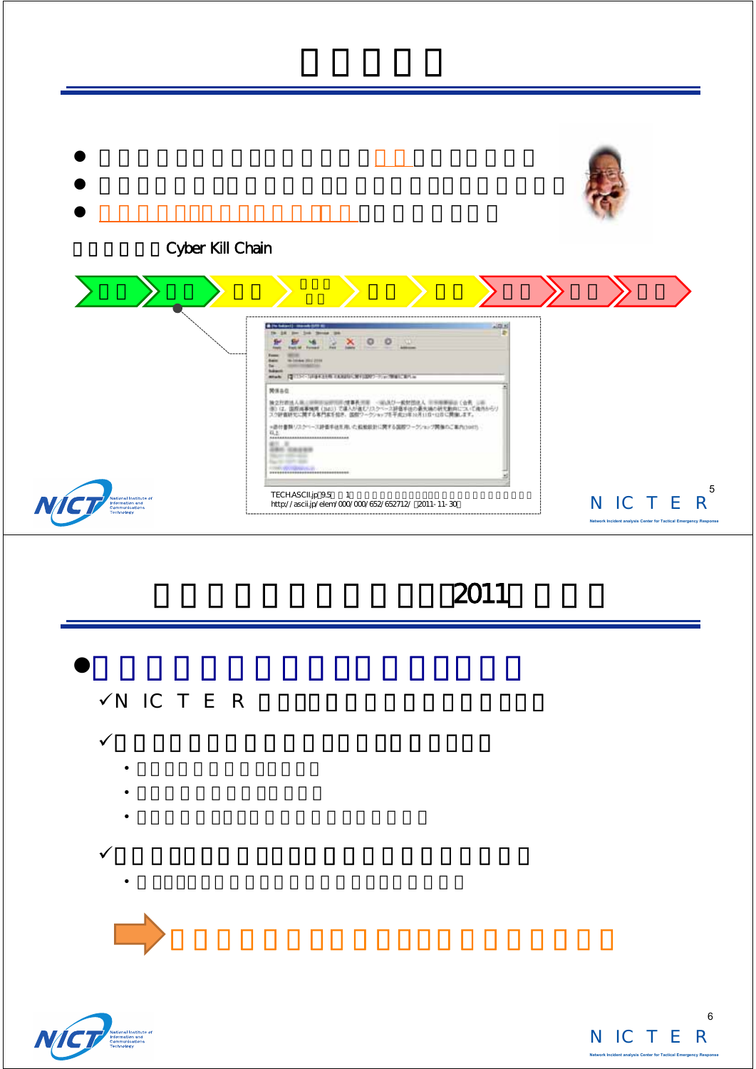| Cyber Kill Chain                                                         | 10.81<br><b>B</b> The Salesville consends to the at-<br><b>Sale Monday Inc.</b><br>$X = 0$<br>三三<br><b>Bastle Md</b><br><b>WELL</b><br>Forms:<br><b>W-14-Am 2012 22141</b><br><b>Bain</b><br><b>HOMESTER</b><br>tel.<br><b>Suite and</b><br>Make 12 1315 SUBATER CONDITIONS TO MAILBOAR<br>開張各位<br>独立社会地人は、1999年には、1999年、1999年に、1999年には、1999年、公共、1999年に<br>1907年、国際海事機関(1883)で進入が進むアスター・2期後半校の最大統治所にはでは、1999年に<br>スク研修施でに関する専門部長担当、国際ワークショップを予定が平均市110~12日に開催します。<br>※直付書類リスクペース評価手法を用いた結果設計に関する実際ワークシェップ開催のご案内(3007)<br>孤玉<br>*********************************<br>#1.3<br><b>JBK CASES</b><br><b>SELECTED</b><br><b>San Francisco</b><br>costs strengthered are<br>--------------------------------- |                                                                                                   |
|--------------------------------------------------------------------------|--------------------------------------------------------------------------------------------------------------------------------------------------------------------------------------------------------------------------------------------------------------------------------------------------------------------------------------------------------------------------------------------------------------------------------------------------------------------------------------------------------------------------------------------------------------------------------------------------------------------------------------------------------------------------------------------------------|---------------------------------------------------------------------------------------------------|
| National Institute of<br>Information and<br>Communications<br>Technology | TECH.ASCII.jp 9.5<br>$\overline{\phantom{0}}$<br>http://ascii.jp/elem/000/000/652/652712/ 2011-11-30                                                                                                                                                                                                                                                                                                                                                                                                                                                                                                                                                                                                   | 5<br>N IC T E<br>$\mathbb{R}$<br>Network Incident analysis Center for Tactical Emergency Response |





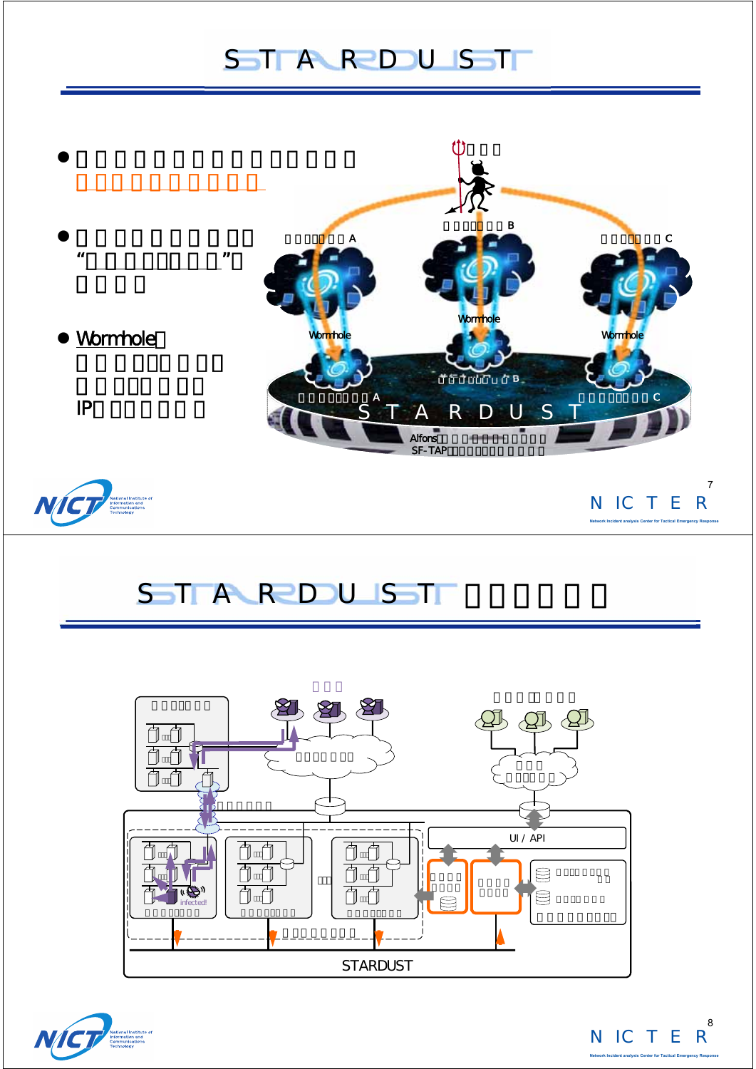#### STARDUST



**Network Incident analysis Center for Tactical Emergency Response**

#### STARDUST





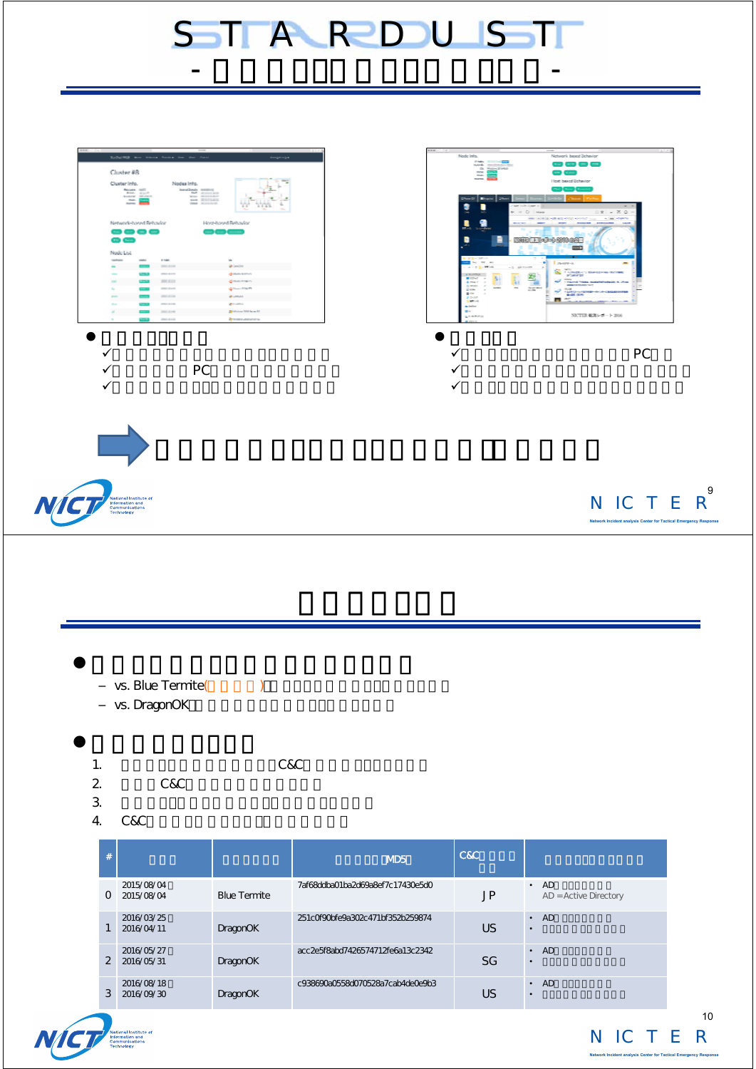



|                                                       | vs. Blue Termite(<br>vs. DragonOK       |                     |                                  |           |                                     |  |
|-------------------------------------------------------|-----------------------------------------|---------------------|----------------------------------|-----------|-------------------------------------|--|
| 1.<br>$\overline{\mathbf{c}}$<br>$\mathfrak{Z}$<br>4. | C&C<br>C&C                              | C&C                 |                                  |           |                                     |  |
| $\#$                                                  |                                         |                     | MD <sub>5</sub>                  | C&C       |                                     |  |
|                                                       | 2015/08/04<br>0 2015/08/04              | <b>Blue Termite</b> | 7af68ddba01ba2d69a8ef7c17430e5d0 | <b>JP</b> | $\cdot$ AD<br>AD = Active Directory |  |
| $\mathbf{1}$                                          | 2016/03/25<br>2016/04/11                | <b>DragonOK</b>     | 251cOf9Obfe9a3O2c471bf352b259874 | <b>US</b> | $\cdot$ AD<br>$\bullet$             |  |
|                                                       | 2016/05/27<br>$2^{\circ}$<br>2016/05/31 | <b>DragonOK</b>     | acc2e5f8abd7426574712fe6a13c2342 | SG        | $\cdot$ AD<br>$\bullet$             |  |
|                                                       | 2016/08/18<br>3<br>2016/09/30           | <b>DragonOK</b>     | c938690a0558d070528a7cab4de0e9b3 | <b>US</b> | $\cdot$ AD<br>$\bullet$             |  |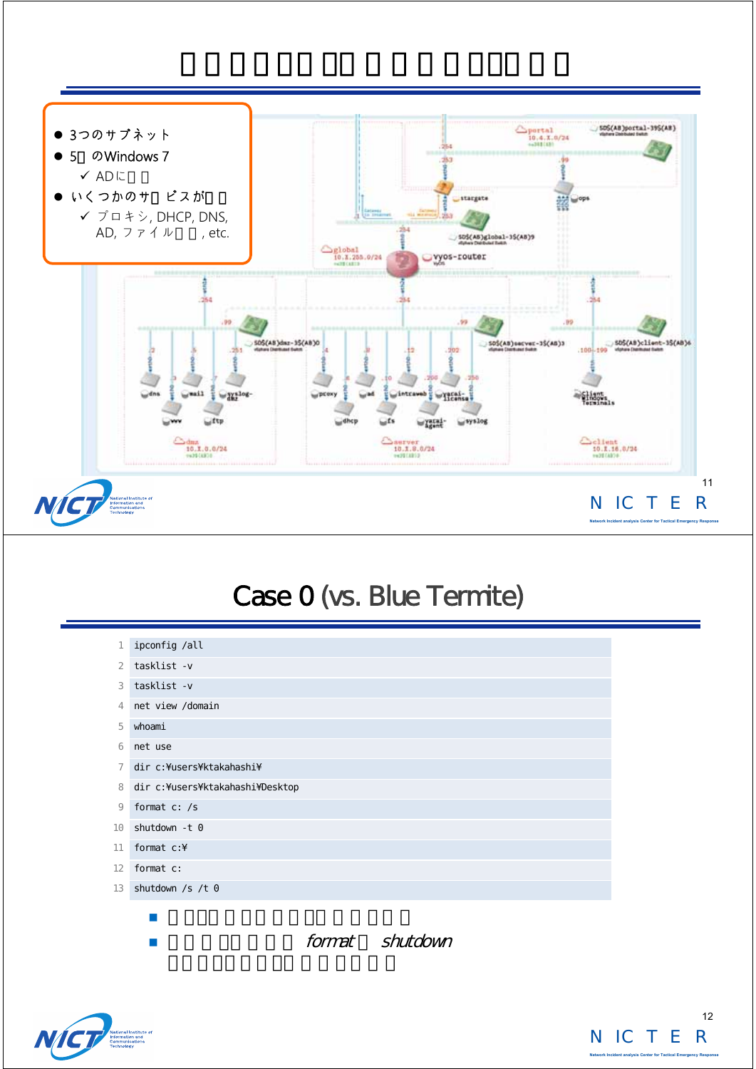

#### Case 0 (vs. Blue Termite)

| 1              | i pconfig /all                    |
|----------------|-----------------------------------|
| $\overline{2}$ | tasklist-v                        |
| 3              | tasklist-v                        |
| $\overline{4}$ | net view /domain                  |
| 5              | whoami                            |
| 6              | net use                           |
| 7              | dir c: ¥users¥ktakahashi¥         |
| 8              | dir c: ¥users¥ktakahashi ¥Desktop |
| 9              | format c: /s                      |
| 10             | shutdown -t 0                     |
| 11             | format $c:$ ¥                     |
| 12             | format c:                         |
| 13             | shutdown $/s$ /t 0                |
|                |                                   |
|                |                                   |

format shutdown



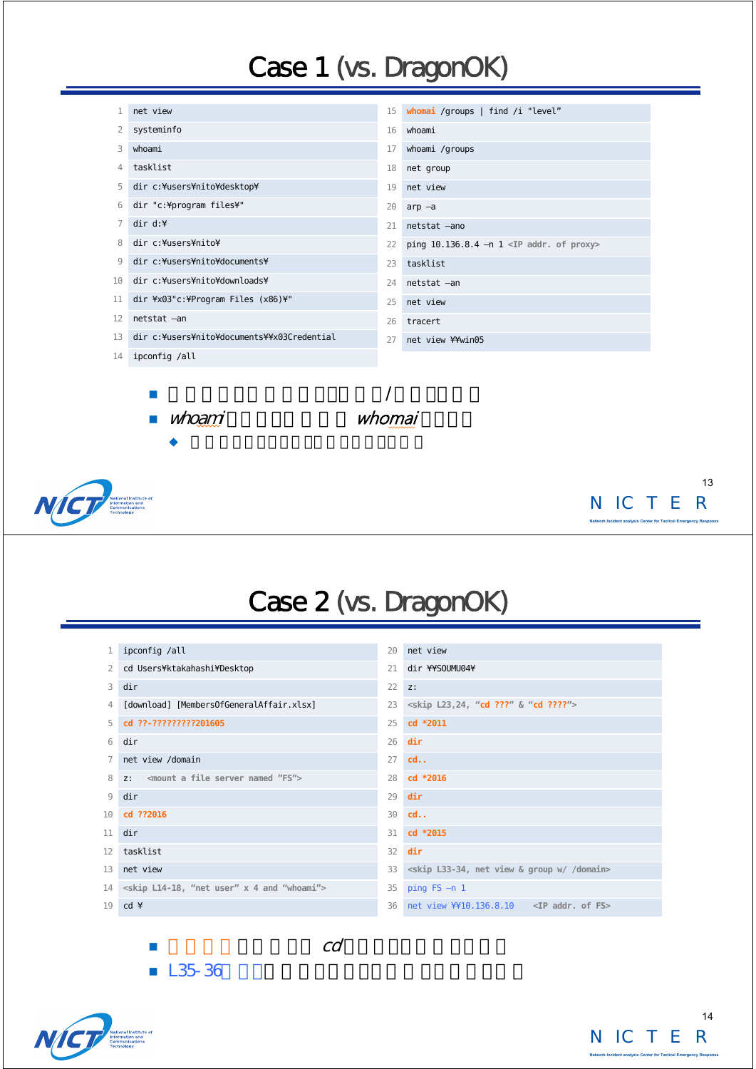## Case 1 (vs. DragonOK)

|    | net view                                    | 15 | whomai /groups   find /i "level"            |
|----|---------------------------------------------|----|---------------------------------------------|
| 2  | systeminfo                                  | 16 | whoami                                      |
| 3  | whoami                                      | 17 | whoami /groups                              |
| 4  | tasklist                                    | 18 | net group                                   |
| 5  | dir c: ¥users¥ni to¥desktop¥                | 19 | net view                                    |
| 6  | dir "c:¥program files¥"                     | 20 | $arp -a$                                    |
| 7  | dir d:                                      | 21 | netstat -ano                                |
| 8  | dir c: ¥users¥nito¥                         | 22 | ping 10.136.8.4 -n 1 < $IP$ addr. of proxy> |
| 9  | dir c: ¥users¥nito¥documents¥               | 23 | tasklist                                    |
| 10 | dir c: ¥users¥ni to¥downloads¥              | 24 | netstat -an                                 |
| 11 | dir ¥x03"c: ¥Program Files (x86)¥"          | 25 | net view                                    |
| 12 | netstat -an                                 | 26 | tracert                                     |
| 13 | dir c: ¥users¥nito¥documents¥¥x03Credential | 27 | net view ¥¥win05                            |
| 14 | ipconfig /all                               |    |                                             |
|    |                                             |    |                                             |
|    |                                             |    |                                             |
|    |                                             |    |                                             |
|    |                                             |    |                                             |
|    |                                             |    |                                             |
|    |                                             |    |                                             |



NICTER **Network Incident analysis Center for Tactical Emergency Response** 

### Case 2 (vs. DragonOK)

|                 | ipconfig /all                                                             | 20 | net view                                                             |
|-----------------|---------------------------------------------------------------------------|----|----------------------------------------------------------------------|
| 2               | cd Users¥ktakahashi¥Desktop                                               | 21 | dir ¥¥SOUMU04¥                                                       |
| 3               | di r                                                                      | 22 | Z:                                                                   |
| 4               | [download] [MembersOfGeneral Affair.xlsx]                                 | 23 | <skip "cd="" &="" 24,="" ???"="" ????"="" l23,=""></skip>            |
| 5               | cd ??-?????????201605                                                     | 25 | cd *2011                                                             |
| 6               | di r                                                                      | 26 | di r                                                                 |
|                 | net view /domain                                                          | 27 | cd.                                                                  |
| 8               | 7: <mount "fs"="" a="" file="" named="" server=""></mount>                | 28 | cd *2016                                                             |
| 9               | di r                                                                      | 29 | dir                                                                  |
| 10 <sup>1</sup> | cd ??2016                                                                 | 30 | cd.                                                                  |
| 11              | di r                                                                      | 31 | cd *2015                                                             |
| 12              | tasklist                                                                  | 32 | di r                                                                 |
| 13              | net view                                                                  | 33 | <skip &="" domain="" group="" l33-34,="" net="" view="" w=""></skip> |
|                 | 14 <skip "net="" "whoami"="" 4="" and="" l14-18,="" user"="" x=""></skip> | 35 | ping $FS - n 1$                                                      |
| 19              | $cd \not\equiv$                                                           | 36 |                                                                      |
|                 |                                                                           |    |                                                                      |

 $\blacksquare$ 



 $\blacksquare$  L35-36